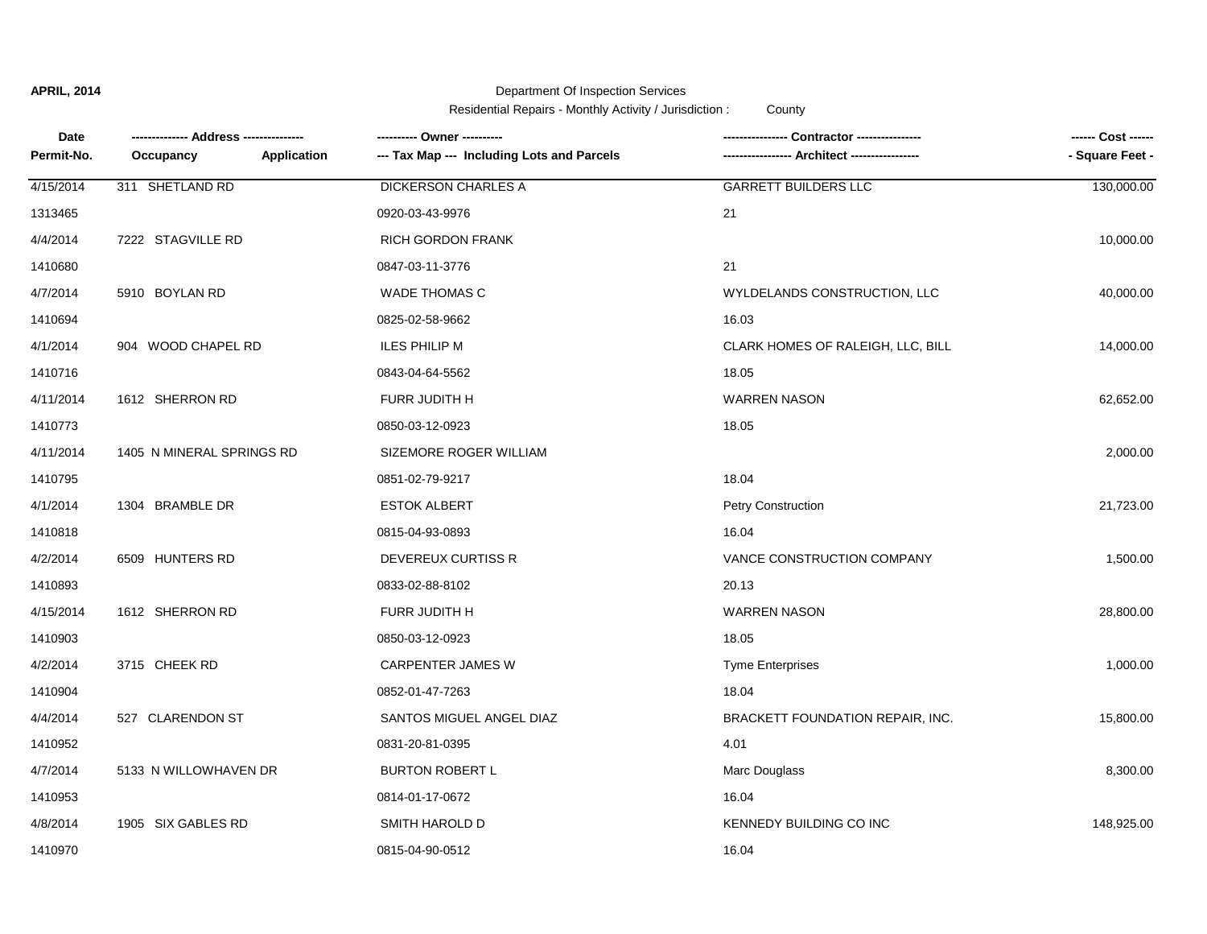## **APRIL, 2014**

# Department Of Inspection Services

Residential Repairs - Monthly Activity / Jurisdiction : County

| Date       |                           |             |                                            | Contractor ----------------       |                 |
|------------|---------------------------|-------------|--------------------------------------------|-----------------------------------|-----------------|
| Permit-No. | Occupancy                 | Application | --- Tax Map --- Including Lots and Parcels | <b>Architect -----</b>            | - Square Feet - |
| 4/15/2014  | 311 SHETLAND RD           |             | <b>DICKERSON CHARLES A</b>                 | <b>GARRETT BUILDERS LLC</b>       | 130,000.00      |
| 1313465    |                           |             | 0920-03-43-9976                            | 21                                |                 |
| 4/4/2014   | 7222 STAGVILLE RD         |             | <b>RICH GORDON FRANK</b>                   |                                   | 10,000.00       |
| 1410680    |                           |             | 0847-03-11-3776                            | 21                                |                 |
| 4/7/2014   | 5910 BOYLAN RD            |             | <b>WADE THOMAS C</b>                       | WYLDELANDS CONSTRUCTION, LLC      | 40,000.00       |
| 1410694    |                           |             | 0825-02-58-9662                            | 16.03                             |                 |
| 4/1/2014   | 904 WOOD CHAPEL RD        |             | <b>ILES PHILIP M</b>                       | CLARK HOMES OF RALEIGH, LLC, BILL | 14,000.00       |
| 1410716    |                           |             | 0843-04-64-5562                            | 18.05                             |                 |
| 4/11/2014  | 1612 SHERRON RD           |             | FURR JUDITH H                              | <b>WARREN NASON</b>               | 62,652.00       |
| 1410773    |                           |             | 0850-03-12-0923                            | 18.05                             |                 |
| 4/11/2014  | 1405 N MINERAL SPRINGS RD |             | SIZEMORE ROGER WILLIAM                     |                                   | 2,000.00        |
| 1410795    |                           |             | 0851-02-79-9217                            | 18.04                             |                 |
| 4/1/2014   | 1304 BRAMBLE DR           |             | <b>ESTOK ALBERT</b>                        | <b>Petry Construction</b>         | 21,723.00       |
| 1410818    |                           |             | 0815-04-93-0893                            | 16.04                             |                 |
| 4/2/2014   | 6509 HUNTERS RD           |             | DEVEREUX CURTISS R                         | VANCE CONSTRUCTION COMPANY        | 1,500.00        |
| 1410893    |                           |             | 0833-02-88-8102                            | 20.13                             |                 |
| 4/15/2014  | 1612 SHERRON RD           |             | FURR JUDITH H                              | <b>WARREN NASON</b>               | 28,800.00       |
| 1410903    |                           |             | 0850-03-12-0923                            | 18.05                             |                 |
| 4/2/2014   | 3715 CHEEK RD             |             | <b>CARPENTER JAMES W</b>                   | <b>Tyme Enterprises</b>           | 1,000.00        |
| 1410904    |                           |             | 0852-01-47-7263                            | 18.04                             |                 |
| 4/4/2014   | 527 CLARENDON ST          |             | SANTOS MIGUEL ANGEL DIAZ                   | BRACKETT FOUNDATION REPAIR, INC.  | 15,800.00       |
| 1410952    |                           |             | 0831-20-81-0395                            | 4.01                              |                 |
| 4/7/2014   | 5133 N WILLOWHAVEN DR     |             | <b>BURTON ROBERT L</b>                     | Marc Douglass                     | 8,300.00        |
| 1410953    |                           |             | 0814-01-17-0672                            | 16.04                             |                 |
| 4/8/2014   | 1905 SIX GABLES RD        |             | SMITH HAROLD D                             | KENNEDY BUILDING CO INC           | 148,925.00      |
| 1410970    |                           |             | 0815-04-90-0512                            | 16.04                             |                 |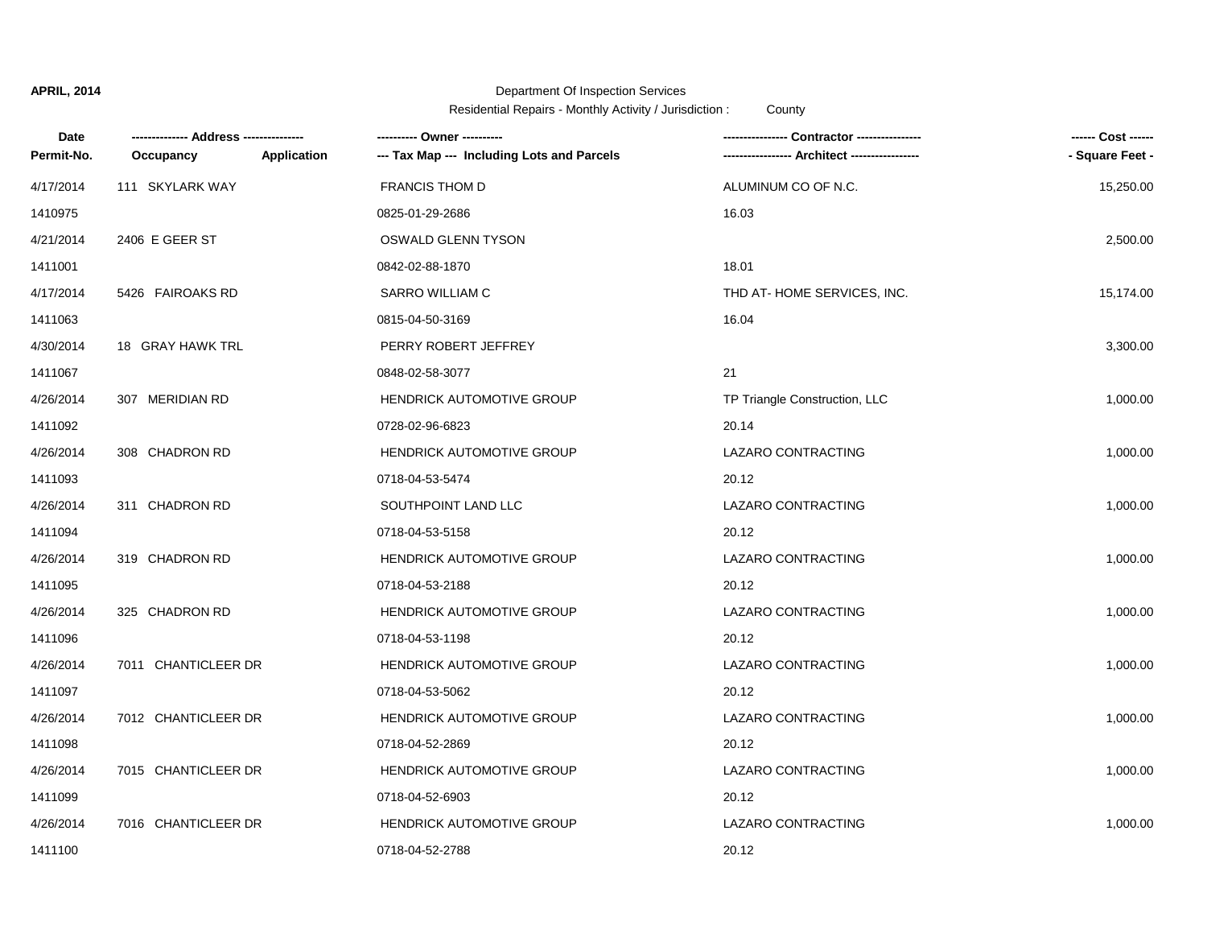## **APRIL, 2014**

### Department Of Inspection Services

Residential Repairs - Monthly Activity / Jurisdiction : County

| Date       |                     |                    | ---------- Owner ----------                |                               |                 |
|------------|---------------------|--------------------|--------------------------------------------|-------------------------------|-----------------|
| Permit-No. | Occupancy           | <b>Application</b> | --- Tax Map --- Including Lots and Parcels |                               | - Square Feet - |
| 4/17/2014  | 111 SKYLARK WAY     |                    | <b>FRANCIS THOM D</b>                      | ALUMINUM CO OF N.C.           | 15,250.00       |
| 1410975    |                     |                    | 0825-01-29-2686                            | 16.03                         |                 |
| 4/21/2014  | 2406 E GEER ST      |                    | OSWALD GLENN TYSON                         |                               | 2,500.00        |
| 1411001    |                     |                    | 0842-02-88-1870                            | 18.01                         |                 |
| 4/17/2014  | 5426 FAIROAKS RD    |                    | SARRO WILLIAM C                            | THD AT-HOME SERVICES, INC.    | 15,174.00       |
| 1411063    |                     |                    | 0815-04-50-3169                            | 16.04                         |                 |
| 4/30/2014  | 18 GRAY HAWK TRL    |                    | PERRY ROBERT JEFFREY                       |                               | 3,300.00        |
| 1411067    |                     |                    | 0848-02-58-3077                            | 21                            |                 |
| 4/26/2014  | 307 MERIDIAN RD     |                    | <b>HENDRICK AUTOMOTIVE GROUP</b>           | TP Triangle Construction, LLC | 1,000.00        |
| 1411092    |                     |                    | 0728-02-96-6823                            | 20.14                         |                 |
| 4/26/2014  | 308 CHADRON RD      |                    | <b>HENDRICK AUTOMOTIVE GROUP</b>           | LAZARO CONTRACTING            | 1,000.00        |
| 1411093    |                     |                    | 0718-04-53-5474                            | 20.12                         |                 |
| 4/26/2014  | 311 CHADRON RD      |                    | SOUTHPOINT LAND LLC                        | LAZARO CONTRACTING            | 1,000.00        |
| 1411094    |                     |                    | 0718-04-53-5158                            | 20.12                         |                 |
| 4/26/2014  | 319 CHADRON RD      |                    | HENDRICK AUTOMOTIVE GROUP                  | LAZARO CONTRACTING            | 1,000.00        |
| 1411095    |                     |                    | 0718-04-53-2188                            | 20.12                         |                 |
| 4/26/2014  | 325 CHADRON RD      |                    | <b>HENDRICK AUTOMOTIVE GROUP</b>           | LAZARO CONTRACTING            | 1,000.00        |
| 1411096    |                     |                    | 0718-04-53-1198                            | 20.12                         |                 |
| 4/26/2014  | 7011 CHANTICLEER DR |                    | HENDRICK AUTOMOTIVE GROUP                  | LAZARO CONTRACTING            | 1,000.00        |
| 1411097    |                     |                    | 0718-04-53-5062                            | 20.12                         |                 |
| 4/26/2014  | 7012 CHANTICLEER DR |                    | HENDRICK AUTOMOTIVE GROUP                  | LAZARO CONTRACTING            | 1,000.00        |
| 1411098    |                     |                    | 0718-04-52-2869                            | 20.12                         |                 |
| 4/26/2014  | 7015 CHANTICLEER DR |                    | HENDRICK AUTOMOTIVE GROUP                  | LAZARO CONTRACTING            | 1,000.00        |
| 1411099    |                     |                    | 0718-04-52-6903                            | 20.12                         |                 |
| 4/26/2014  | 7016 CHANTICLEER DR |                    | <b>HENDRICK AUTOMOTIVE GROUP</b>           | LAZARO CONTRACTING            | 1,000.00        |
| 1411100    |                     |                    | 0718-04-52-2788                            | 20.12                         |                 |